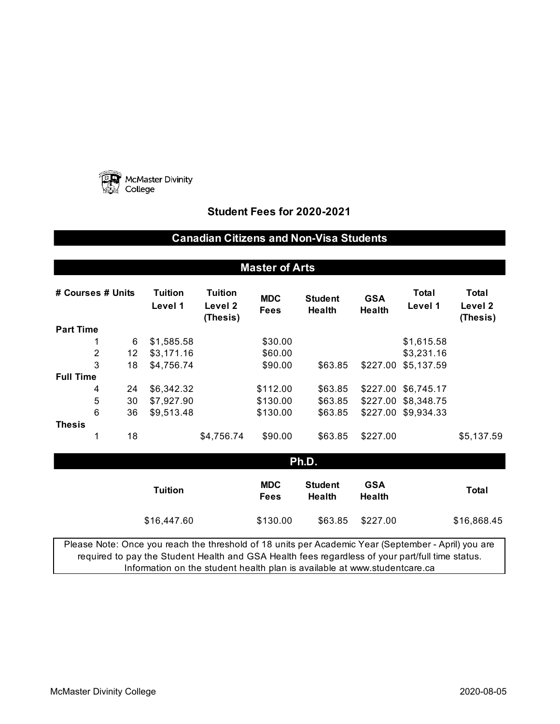

## **Student Fees for 2020-2021**

## **Canadian Citizens and Non-Visa Students**

| <b>Master of Arts</b>                                                                                                                                                                                                                                                                |                |    |                           |                                       |                             |                                 |                             |                  |                              |
|--------------------------------------------------------------------------------------------------------------------------------------------------------------------------------------------------------------------------------------------------------------------------------------|----------------|----|---------------------------|---------------------------------------|-----------------------------|---------------------------------|-----------------------------|------------------|------------------------------|
| # Courses # Units                                                                                                                                                                                                                                                                    |                |    | <b>Tuition</b><br>Level 1 | <b>Tuition</b><br>Level 2<br>(Thesis) | <b>MDC</b><br><b>Fees</b>   | <b>Student</b><br><b>Health</b> | <b>GSA</b><br><b>Health</b> | Total<br>Level 1 | Total<br>Level 2<br>(Thesis) |
| <b>Part Time</b>                                                                                                                                                                                                                                                                     |                |    |                           |                                       |                             |                                 |                             |                  |                              |
|                                                                                                                                                                                                                                                                                      | 1              | 6  | \$1,585.58                |                                       | \$30.00                     |                                 |                             | \$1,615.58       |                              |
|                                                                                                                                                                                                                                                                                      | $\overline{c}$ | 12 | \$3,171.16                |                                       | \$60.00                     |                                 |                             | \$3,231.16       |                              |
|                                                                                                                                                                                                                                                                                      | 3              | 18 | \$4,756.74                |                                       | \$90.00                     | \$63.85                         | \$227.00                    | \$5,137.59       |                              |
| <b>Full Time</b>                                                                                                                                                                                                                                                                     |                |    |                           |                                       |                             |                                 |                             |                  |                              |
|                                                                                                                                                                                                                                                                                      | 4              | 24 | \$6,342.32                |                                       | \$112.00                    | \$63.85                         | \$227.00                    | \$6,745.17       |                              |
|                                                                                                                                                                                                                                                                                      | 5              | 30 | \$7,927.90                |                                       | \$130.00                    | \$63.85                         | \$227.00                    | \$8,348.75       |                              |
|                                                                                                                                                                                                                                                                                      | 6              | 36 | \$9,513.48                |                                       | \$130.00                    | \$63.85                         | \$227.00                    | \$9,934.33       |                              |
| <b>Thesis</b>                                                                                                                                                                                                                                                                        |                |    |                           |                                       |                             |                                 |                             |                  |                              |
|                                                                                                                                                                                                                                                                                      | 1              | 18 |                           | \$4,756.74                            | \$90.00                     | \$63.85                         | \$227.00                    |                  | \$5,137.59                   |
| Ph.D.                                                                                                                                                                                                                                                                                |                |    |                           |                                       |                             |                                 |                             |                  |                              |
| <b>Tuition</b>                                                                                                                                                                                                                                                                       |                |    | <b>MDC</b><br><b>Fees</b> | <b>Student</b><br><b>Health</b>       | <b>GSA</b><br><b>Health</b> |                                 | <b>Total</b>                |                  |                              |
|                                                                                                                                                                                                                                                                                      |                |    | \$16,447.60               |                                       | \$130.00                    | \$63.85                         | \$227.00                    |                  | \$16,868.45                  |
| Please Note: Once you reach the threshold of 18 units per Academic Year (September - April) you are<br>required to pay the Student Health and GSA Health fees regardless of your part/full time status.<br>Information on the student health plan is available at www.studentcare.ca |                |    |                           |                                       |                             |                                 |                             |                  |                              |